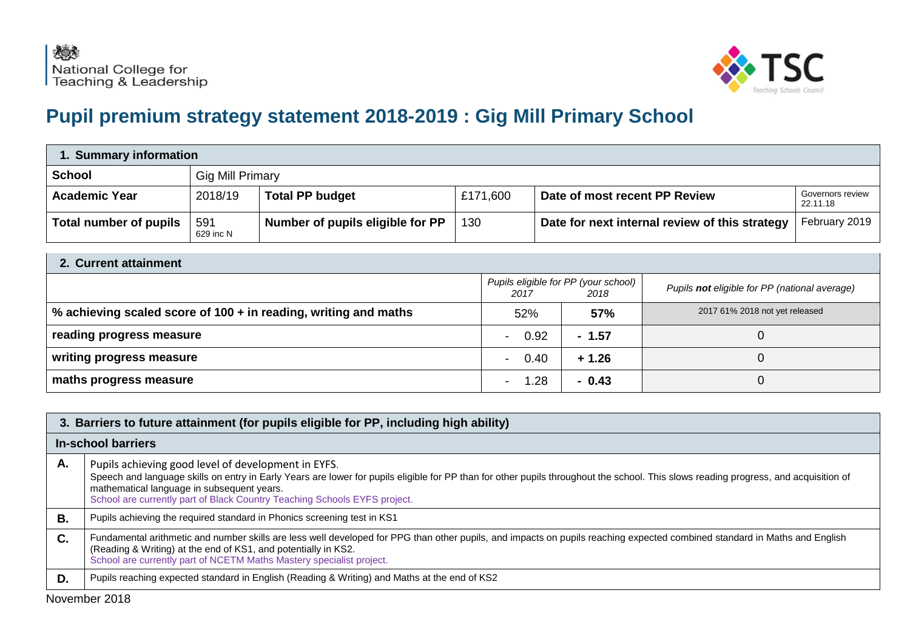

## **Pupil premium strategy statement 2018-2019 : Gig Mill Primary School**

| 1. Summary information |                  |                                  |          |                                                |                              |
|------------------------|------------------|----------------------------------|----------|------------------------------------------------|------------------------------|
| <b>School</b>          |                  | <b>Gig Mill Primary</b>          |          |                                                |                              |
| <b>Academic Year</b>   | 2018/19          | <b>Total PP budget</b>           | £171,600 | Date of most recent PP Review                  | Governors review<br>22.11.18 |
| Total number of pupils | 591<br>629 inc N | Number of pupils eligible for PP | 130      | Date for next internal review of this strategy | February 2019                |

| 2. Current attainment                                           |                                                      |         |                                               |  |  |  |
|-----------------------------------------------------------------|------------------------------------------------------|---------|-----------------------------------------------|--|--|--|
|                                                                 | Pupils eligible for PP (your school)<br>2017<br>2018 |         | Pupils not eligible for PP (national average) |  |  |  |
| % achieving scaled score of 100 + in reading, writing and maths | 52%                                                  | 57%     | 2017 61% 2018 not yet released                |  |  |  |
| reading progress measure                                        | 0.92<br>$\overline{\phantom{a}}$                     | $-1.57$ |                                               |  |  |  |
| writing progress measure                                        | 0.40<br>$\blacksquare$                               | $+1.26$ |                                               |  |  |  |
| maths progress measure                                          | .28<br>$\blacksquare$                                | $-0.43$ |                                               |  |  |  |

|    | 3. Barriers to future attainment (for pupils eligible for PP, including high ability)                                                                                                                                                                                                                                                                                  |  |  |  |
|----|------------------------------------------------------------------------------------------------------------------------------------------------------------------------------------------------------------------------------------------------------------------------------------------------------------------------------------------------------------------------|--|--|--|
|    | In-school barriers                                                                                                                                                                                                                                                                                                                                                     |  |  |  |
| А. | Pupils achieving good level of development in EYFS.<br>Speech and language skills on entry in Early Years are lower for pupils eligible for PP than for other pupils throughout the school. This slows reading progress, and acquisition of<br>mathematical language in subsequent years.<br>School are currently part of Black Country Teaching Schools EYFS project. |  |  |  |
| В. | Pupils achieving the required standard in Phonics screening test in KS1                                                                                                                                                                                                                                                                                                |  |  |  |
| C. | Fundamental arithmetic and number skills are less well developed for PPG than other pupils, and impacts on pupils reaching expected combined standard in Maths and English<br>(Reading & Writing) at the end of KS1, and potentially in KS2.<br>School are currently part of NCETM Maths Mastery specialist project.                                                   |  |  |  |
| D. | Pupils reaching expected standard in English (Reading & Writing) and Maths at the end of KS2                                                                                                                                                                                                                                                                           |  |  |  |
|    |                                                                                                                                                                                                                                                                                                                                                                        |  |  |  |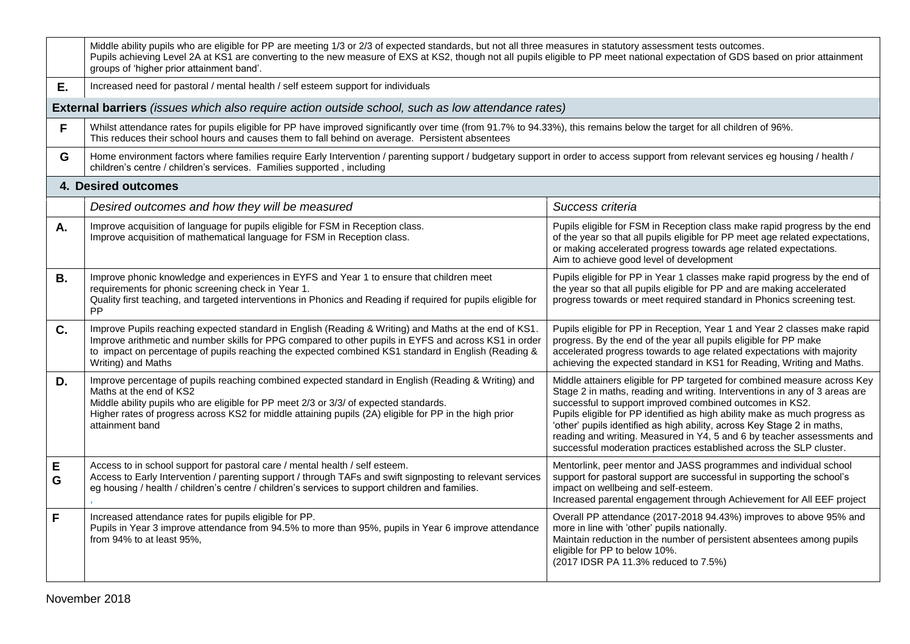|           | Middle ability pupils who are eligible for PP are meeting 1/3 or 2/3 of expected standards, but not all three measures in statutory assessment tests outcomes.<br>Pupils achieving Level 2A at KS1 are converting to the new measure of EXS at KS2, though not all pupils eligible to PP meet national expectation of GDS based on prior attainment<br>groups of 'higher prior attainment band'. |                                                                                                                                                                                                                                                                                                                                                                                                                                                                                                                                |  |  |  |
|-----------|--------------------------------------------------------------------------------------------------------------------------------------------------------------------------------------------------------------------------------------------------------------------------------------------------------------------------------------------------------------------------------------------------|--------------------------------------------------------------------------------------------------------------------------------------------------------------------------------------------------------------------------------------------------------------------------------------------------------------------------------------------------------------------------------------------------------------------------------------------------------------------------------------------------------------------------------|--|--|--|
| Е.        | Increased need for pastoral / mental health / self esteem support for individuals                                                                                                                                                                                                                                                                                                                |                                                                                                                                                                                                                                                                                                                                                                                                                                                                                                                                |  |  |  |
|           | <b>External barriers</b> (issues which also require action outside school, such as low attendance rates)                                                                                                                                                                                                                                                                                         |                                                                                                                                                                                                                                                                                                                                                                                                                                                                                                                                |  |  |  |
| F         | Whilst attendance rates for pupils eligible for PP have improved significantly over time (from 91.7% to 94.33%), this remains below the target for all children of 96%.<br>This reduces their school hours and causes them to fall behind on average. Persistent absentees                                                                                                                       |                                                                                                                                                                                                                                                                                                                                                                                                                                                                                                                                |  |  |  |
| G         | Home environment factors where families require Early Intervention / parenting support / budgetary support in order to access support from relevant services eg housing / health /<br>children's centre / children's services. Families supported, including                                                                                                                                     |                                                                                                                                                                                                                                                                                                                                                                                                                                                                                                                                |  |  |  |
|           | 4. Desired outcomes                                                                                                                                                                                                                                                                                                                                                                              |                                                                                                                                                                                                                                                                                                                                                                                                                                                                                                                                |  |  |  |
|           | Desired outcomes and how they will be measured                                                                                                                                                                                                                                                                                                                                                   | Success criteria                                                                                                                                                                                                                                                                                                                                                                                                                                                                                                               |  |  |  |
| A.        | Improve acquisition of language for pupils eligible for FSM in Reception class.<br>Improve acquisition of mathematical language for FSM in Reception class.                                                                                                                                                                                                                                      | Pupils eligible for FSM in Reception class make rapid progress by the end<br>of the year so that all pupils eligible for PP meet age related expectations,<br>or making accelerated progress towards age related expectations.<br>Aim to achieve good level of development                                                                                                                                                                                                                                                     |  |  |  |
| <b>B.</b> | Improve phonic knowledge and experiences in EYFS and Year 1 to ensure that children meet<br>requirements for phonic screening check in Year 1.<br>Quality first teaching, and targeted interventions in Phonics and Reading if required for pupils eligible for<br><b>PP</b>                                                                                                                     | Pupils eligible for PP in Year 1 classes make rapid progress by the end of<br>the year so that all pupils eligible for PP and are making accelerated<br>progress towards or meet required standard in Phonics screening test.                                                                                                                                                                                                                                                                                                  |  |  |  |
| C.        | Improve Pupils reaching expected standard in English (Reading & Writing) and Maths at the end of KS1.<br>Improve arithmetic and number skills for PPG compared to other pupils in EYFS and across KS1 in order<br>to impact on percentage of pupils reaching the expected combined KS1 standard in English (Reading &<br>Writing) and Maths                                                      | Pupils eligible for PP in Reception, Year 1 and Year 2 classes make rapid<br>progress. By the end of the year all pupils eligible for PP make<br>accelerated progress towards to age related expectations with majority<br>achieving the expected standard in KS1 for Reading, Writing and Maths.                                                                                                                                                                                                                              |  |  |  |
| D.        | Improve percentage of pupils reaching combined expected standard in English (Reading & Writing) and<br>Maths at the end of KS2<br>Middle ability pupils who are eligible for PP meet 2/3 or 3/3/ of expected standards.<br>Higher rates of progress across KS2 for middle attaining pupils (2A) eligible for PP in the high prior<br>attainment band                                             | Middle attainers eligible for PP targeted for combined measure across Key<br>Stage 2 in maths, reading and writing. Interventions in any of 3 areas are<br>successful to support improved combined outcomes in KS2.<br>Pupils eligible for PP identified as high ability make as much progress as<br>'other' pupils identified as high ability, across Key Stage 2 in maths,<br>reading and writing. Measured in Y4, 5 and 6 by teacher assessments and<br>successful moderation practices established across the SLP cluster. |  |  |  |
| Е<br>G    | Access to in school support for pastoral care / mental health / self esteem.<br>Access to Early Intervention / parenting support / through TAFs and swift signposting to relevant services<br>eg housing / health / children's centre / children's services to support children and families.                                                                                                    | Mentorlink, peer mentor and JASS programmes and individual school<br>support for pastoral support are successful in supporting the school's<br>impact on wellbeing and self-esteem.<br>Increased parental engagement through Achievement for All EEF project                                                                                                                                                                                                                                                                   |  |  |  |
| F         | Increased attendance rates for pupils eligible for PP.<br>Pupils in Year 3 improve attendance from 94.5% to more than 95%, pupils in Year 6 improve attendance<br>from 94% to at least 95%,                                                                                                                                                                                                      | Overall PP attendance (2017-2018 94.43%) improves to above 95% and<br>more in line with 'other' pupils nationally.<br>Maintain reduction in the number of persistent absentees among pupils<br>eligible for PP to below 10%.<br>(2017 IDSR PA 11.3% reduced to 7.5%)                                                                                                                                                                                                                                                           |  |  |  |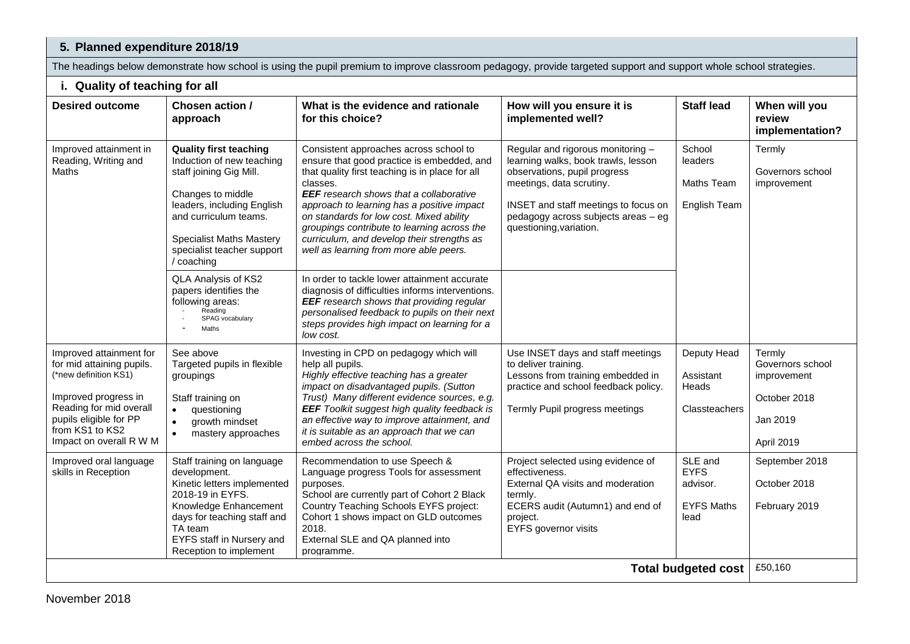## **5. Planned expenditure 2018/19**

The headings below demonstrate how school is using the pupil premium to improve classroom pedagogy, provide targeted support and support whole school strategies.

## **i. Quality of teaching for all Desired outcome Chosen action / approach What is the evidence and rationale for this choice? How will you ensure it is implemented well? Staff lead When will you review implementation?** Improved attainment in Reading, Writing and Maths **Quality first teaching**  Induction of new teaching staff joining Gig Mill. Changes to middle leaders, including English and curriculum teams. Specialist Maths Mastery specialist teacher support / coaching Consistent approaches across school to ensure that good practice is embedded, and that quality first teaching is in place for all classes. *EEF research shows that a collaborative approach to learning has a positive impact on standards for low cost. Mixed ability groupings contribute to learning across the curriculum, and develop their strengths as well as learning from more able peers.* Regular and rigorous monitoring – learning walks, book trawls, lesson observations, pupil progress meetings, data scrutiny. INSET and staff meetings to focus on pedagogy across subjects areas – eg questioning,variation. School leaders Maths Team English Team **Termly** Governors school improvement QLA Analysis of KS2 papers identifies the following areas: Reading - SPAG vocabulary **Maths** In order to tackle lower attainment accurate diagnosis of difficulties informs interventions. *EEF research shows that providing regular personalised feedback to pupils on their next steps provides high impact on learning for a low cost.* Improved attainment for for mid attaining pupils. (\*new definition KS1) Improved progress in Reading for mid overall pupils eligible for PP from KS1 to KS2 Impact on overall R W M See above Targeted pupils in flexible groupings Staff training on • **questioning** • growth mindset • mastery approaches Investing in CPD on pedagogy which will help all pupils. *Highly effective teaching has a greater impact on disadvantaged pupils. (Sutton Trust) Many different evidence sources, e.g. EEF Toolkit suggest high quality feedback is an effective way to improve attainment, and it is suitable as an approach that we can embed across the school.* Use INSET days and staff meetings to deliver training. Lessons from training embedded in practice and school feedback policy. Termly Pupil progress meetings Deputy Head Assistant **Heads** Classteachers **Termly** Governors school improvement October 2018 Jan 2019 April 2019 Improved oral language skills in Reception Staff training on language development. Kinetic letters implemented 2018-19 in EYFS. Knowledge Enhancement days for teaching staff and TA team EYFS staff in Nursery and Reception to implement approaches for EYFS and EYFS and EYFS and EYFS and EYFS are the EYFS and EYFS are the EYFS and EYFS are the EY Recommendation to use Speech & Language progress Tools for assessment purposes. School are currently part of Cohort 2 Black Country Teaching Schools EYFS project: Cohort 1 shows impact on GLD outcomes 2018. External SLE and QA planned into programme. Project selected using evidence of effectiveness. External QA visits and moderation termly. ECERS audit (Autumn1) and end of project. EYFS governor visits SLE and **EYFS** advisor. EYFS Maths lead September 2018 October 2018 February 2019 **Total budgeted cost** | £50,160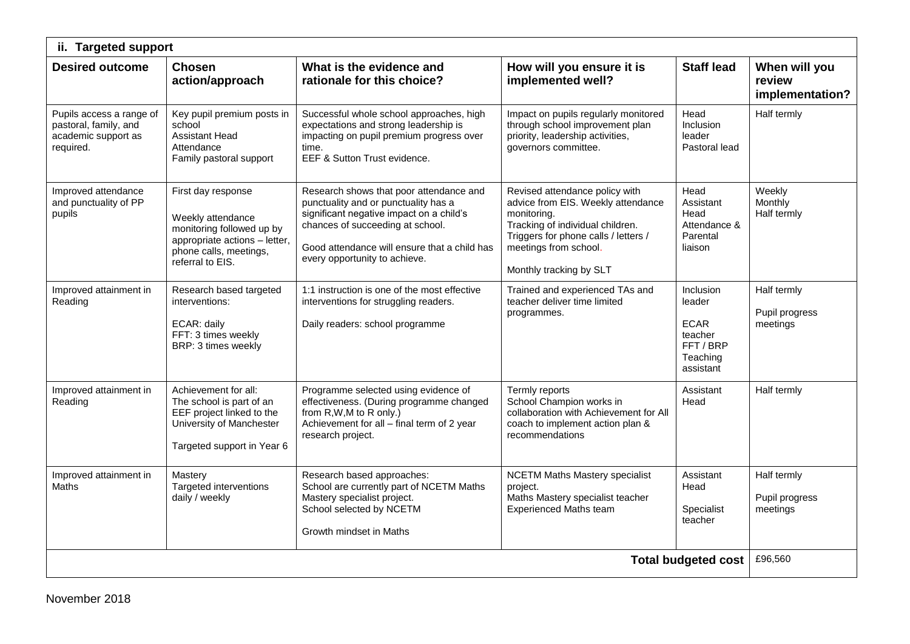| ii. Targeted support                                                                  |                                                                                                                                                     |                                                                                                                                                                                                                                                  |                                                                                                                                                                                                                     |                                                                                   |                                            |  |
|---------------------------------------------------------------------------------------|-----------------------------------------------------------------------------------------------------------------------------------------------------|--------------------------------------------------------------------------------------------------------------------------------------------------------------------------------------------------------------------------------------------------|---------------------------------------------------------------------------------------------------------------------------------------------------------------------------------------------------------------------|-----------------------------------------------------------------------------------|--------------------------------------------|--|
| <b>Desired outcome</b>                                                                | <b>Chosen</b><br>action/approach                                                                                                                    | What is the evidence and<br>rationale for this choice?                                                                                                                                                                                           | How will you ensure it is<br>implemented well?                                                                                                                                                                      | <b>Staff lead</b>                                                                 | When will you<br>review<br>implementation? |  |
| Pupils access a range of<br>pastoral, family, and<br>academic support as<br>required. | Key pupil premium posts in<br>school<br><b>Assistant Head</b><br>Attendance<br>Family pastoral support                                              | Successful whole school approaches, high<br>expectations and strong leadership is<br>impacting on pupil premium progress over<br>time.<br>EEF & Sutton Trust evidence.                                                                           | Impact on pupils regularly monitored<br>through school improvement plan<br>priority, leadership activities,<br>governors committee.                                                                                 | Head<br>Inclusion<br>leader<br>Pastoral lead                                      | Half termly                                |  |
| Improved attendance<br>and punctuality of PP<br>pupils                                | First day response<br>Weekly attendance<br>monitoring followed up by<br>appropriate actions - letter,<br>phone calls, meetings,<br>referral to EIS. | Research shows that poor attendance and<br>punctuality and or punctuality has a<br>significant negative impact on a child's<br>chances of succeeding at school.<br>Good attendance will ensure that a child has<br>every opportunity to achieve. | Revised attendance policy with<br>advice from EIS. Weekly attendance<br>monitorina.<br>Tracking of individual children.<br>Triggers for phone calls / letters /<br>meetings from school.<br>Monthly tracking by SLT | Head<br>Assistant<br>Head<br>Attendance &<br>Parental<br>liaison                  | Weekly<br>Monthly<br>Half termly           |  |
| Improved attainment in<br>Reading                                                     | Research based targeted<br>interventions:<br>ECAR: daily<br>FFT: 3 times weekly<br>BRP: 3 times weekly                                              | 1:1 instruction is one of the most effective<br>interventions for struggling readers.<br>Daily readers: school programme                                                                                                                         | Trained and experienced TAs and<br>teacher deliver time limited<br>programmes.                                                                                                                                      | Inclusion<br>leader<br><b>ECAR</b><br>teacher<br>FFT/BRP<br>Teaching<br>assistant | Half termly<br>Pupil progress<br>meetings  |  |
| Improved attainment in<br>Reading                                                     | Achievement for all:<br>The school is part of an<br>EEF project linked to the<br>University of Manchester<br>Targeted support in Year 6             | Programme selected using evidence of<br>effectiveness. (During programme changed<br>from R,W,M to R only.)<br>Achievement for all - final term of 2 year<br>research project.                                                                    | Termly reports<br>School Champion works in<br>collaboration with Achievement for All<br>coach to implement action plan &<br>recommendations                                                                         | Assistant<br>Head                                                                 | Half termly                                |  |
| Improved attainment in<br>Maths                                                       | Mastery<br>Targeted interventions<br>daily / weekly                                                                                                 | Research based approaches:<br>School are currently part of NCETM Maths<br>Mastery specialist project.<br>School selected by NCETM<br>Growth mindset in Maths                                                                                     | <b>NCETM Maths Mastery specialist</b><br>project.<br>Maths Mastery specialist teacher<br><b>Experienced Maths team</b>                                                                                              | Assistant<br>Head<br>Specialist<br>teacher                                        | Half termly<br>Pupil progress<br>meetings  |  |
| £96,560<br><b>Total budgeted cost</b>                                                 |                                                                                                                                                     |                                                                                                                                                                                                                                                  |                                                                                                                                                                                                                     |                                                                                   |                                            |  |